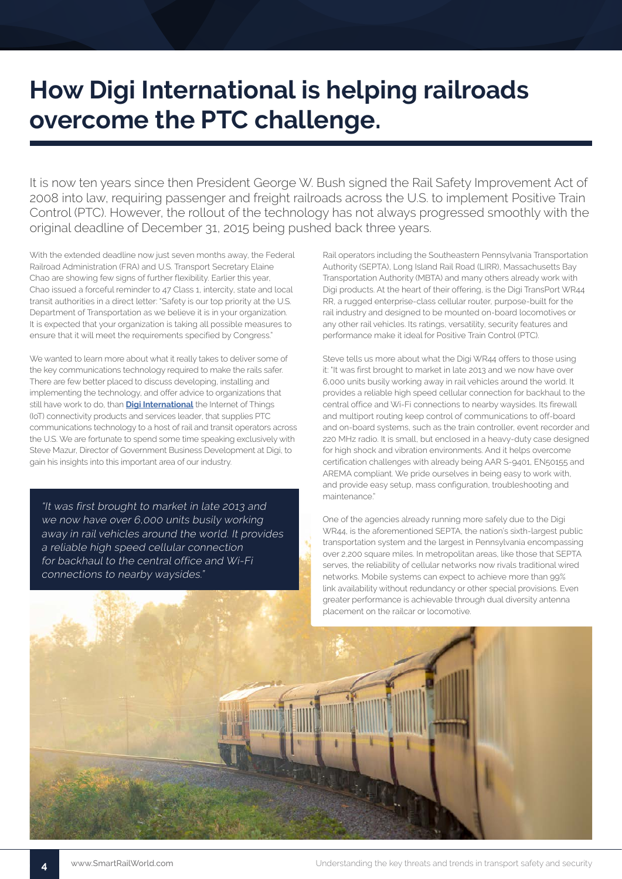## **How Digi International is helping railroads overcome the PTC challenge.**

It is now ten years since then President George W. Bush signed the Rail Safety Improvement Act of 2008 into law, requiring passenger and freight railroads across the U.S. to implement Positive Train Control (PTC). However, the rollout of the technology has not always progressed smoothly with the original deadline of December 31, 2015 being pushed back three years.

With the extended deadline now just seven months away, the Federal Railroad Administration (FRA) and U.S. Transport Secretary Elaine Chao are showing few signs of further flexibility. Earlier this year, Chao issued a forceful reminder to 47 Class 1, intercity, state and local transit authorities in a direct letter: "Safety is our top priority at the U.S. Department of Transportation as we believe it is in your organization. It is expected that your organization is taking all possible measures to ensure that it will meet the requirements specified by Congress."

We wanted to learn more about what it really takes to deliver some of the key communications technology required to make the rails safer. There are few better placed to discuss developing, installing and implementing the technology, and offer advice to organizations that still have work to do, than **[Digi International](https://www.digi.com/)** the Internet of Things (IoT) connectivity products and services leader, that supplies PTC communications technology to a host of rail and transit operators across the U.S. We are fortunate to spend some time speaking exclusively with Steve Mazur, Director of Government Business Development at Digi, to gain his insights into this important area of our industry.

"It was first brought to market in late 2013 and we now have over 6,000 units busily working away in rail vehicles around the world. It provides a reliable high speed cellular connection for backhaul to the central office and Wi-Fi connections to nearby waysides."

Rail operators including the Southeastern Pennsylvania Transportation Authority (SEPTA), Long Island Rail Road (LIRR), Massachusetts Bay Transportation Authority (MBTA) and many others already work with Digi products. At the heart of their offering, is the Digi TransPort WR44 RR, a rugged enterprise-class cellular router, purpose-built for the rail industry and designed to be mounted on-board locomotives or any other rail vehicles. Its ratings, versatility, security features and performance make it ideal for Positive Train Control (PTC).

Steve tells us more about what the Digi WR44 offers to those using it: "It was first brought to market in late 2013 and we now have over 6,000 units busily working away in rail vehicles around the world. It provides a reliable high speed cellular connection for backhaul to the central office and Wi-Fi connections to nearby waysides. Its firewall and multiport routing keep control of communications to off-board and on-board systems, such as the train controller, event recorder and 220 MHz radio. It is small, but enclosed in a heavy-duty case designed for high shock and vibration environments. And it helps overcome certification challenges with already being AAR S-9401, EN50155 and AREMA compliant. We pride ourselves in being easy to work with, and provide easy setup, mass configuration, troubleshooting and maintenance."

One of the agencies already running more safely due to the Digi WR44, is the aforementioned SEPTA, the nation's sixth-largest public transportation system and the largest in Pennsylvania encompassing over 2,200 square miles. In metropolitan areas, like those that SEPTA serves, the reliability of cellular networks now rivals traditional wired networks. Mobile systems can expect to achieve more than 99% link availability without redundancy or other special provisions. Even greater performance is achievable through dual diversity antenna placement on the railcar or locomotive.



**4** www.SmartRailWorld.com **1988** Understanding the key threats and trends in transport safety and security